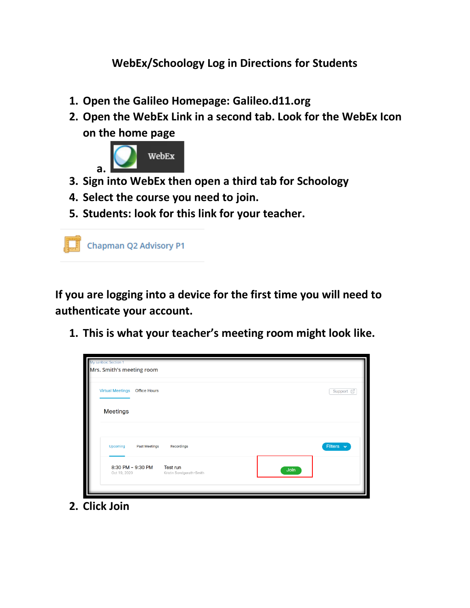## **WebEx/Schoology Log in Directions for Students**

- **1. Open the Galileo Homepage: Galileo.d11.org**
- **2. Open the WebEx Link in a second tab. Look for the WebEx Icon on the home page**



- **3. Sign into WebEx then open a third tab for Schoology**
- **4. Select the course you need to join.**
- **5. Students: look for this link for your teacher.**



**a.**

**If you are logging into a device for the first time you will need to authenticate your account.** 

**1. This is what your teacher's meeting room might look like.** 

| My sanbox: Section 1<br>Mrs. Smith's meeting room |                                             |      |                |
|---------------------------------------------------|---------------------------------------------|------|----------------|
| Virtual Meetings  Office Hours                    |                                             |      | Support 了      |
| <b>Meetings</b>                                   |                                             |      |                |
| Upcoming<br><b>Past Meetings</b>                  | Recordings                                  |      | Filters $\sim$ |
| 8:30 PM - 9:30 PM<br>Oct 19, 2020                 | <b>Test run</b><br>Kristin Sondgerath-Smith | Join |                |
|                                                   |                                             |      |                |

**2. Click Join**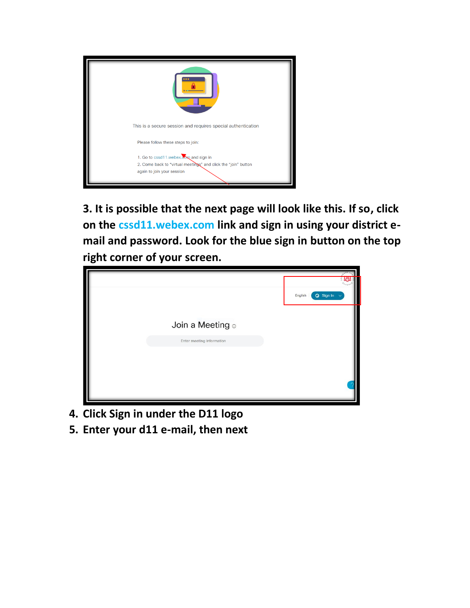

**3. It is possible that the next page will look like this. If so, click on the cssd11.webex.com link and sign in using your district email and password. Look for the blue sign in button on the top right corner of your screen.** 

|                           | $\bigcirc$ Sign In $\checkmark$<br>English |
|---------------------------|--------------------------------------------|
| Join a Meeting o          |                                            |
| Enter meeting information |                                            |
|                           |                                            |

- **4. Click Sign in under the D11 logo**
- **5. Enter your d11 e-mail, then next**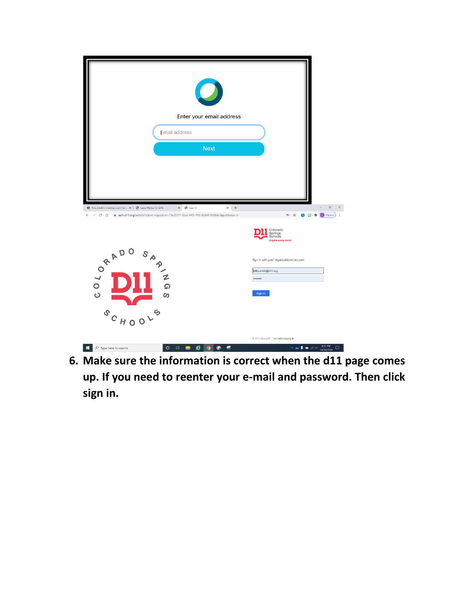

**6. Make sure the information is correct when the d11 page comes up. If you need to reenter your e-mail and password. Then click sign in.**